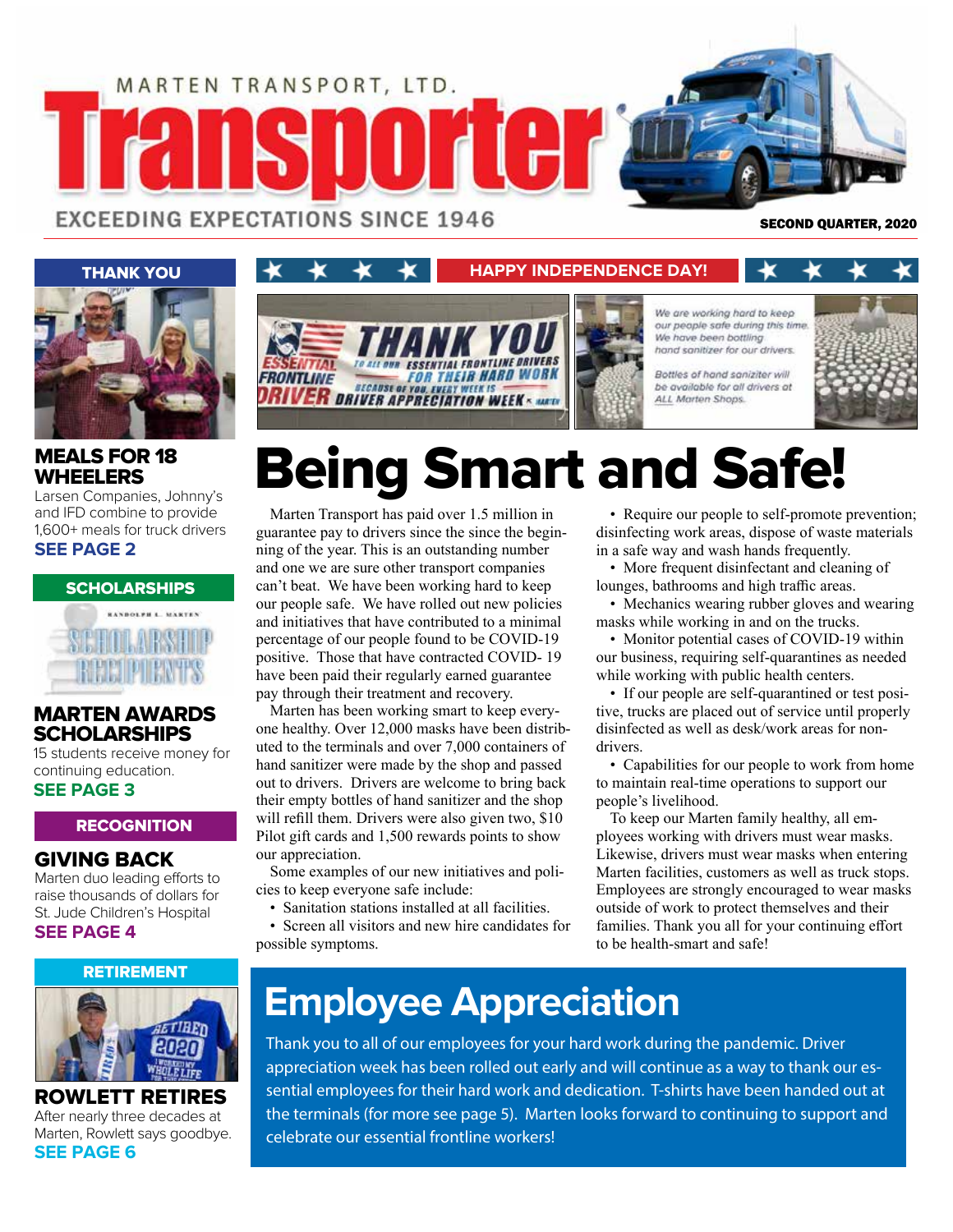

ERY WEEK IS

EXCEEDING EXPECTATIONS SINCE 1946

*FRONTLINE* 

SECOND QUARTER, 2020



### MEALS FOR 18 WHEELERS

Larsen Companies, Johnny's and IFD combine to provide 1,600+ meals for truck drivers **SEE PAGE 2**



### MARTEN AWARDS **SCHOLARSHIPS**

15 students receive money for continuing education. **SEE PAGE 3**

### **RECOGNITION**

### GIVING BACK

Marten duo leading efforts to raise thousands of dollars for St. Jude Children's Hospital **SEE PAGE 4**

### RETIREMENT



ROWLETT RETIRES After nearly three decades at Marten, Rowlett says goodbye. **SEE PAGE 6**

# Being Smart and Safe!

Marten Transport has paid over 1.5 million in guarantee pay to drivers since the since the beginning of the year. This is an outstanding number and one we are sure other transport companies can't beat. We have been working hard to keep our people safe. We have rolled out new policies and initiatives that have contributed to a minimal percentage of our people found to be COVID-19 positive. Those that have contracted COVID- 19 have been paid their regularly earned guarantee pay through their treatment and recovery.

**BECAUSE OF YOU** 

Marten has been working smart to keep everyone healthy. Over 12,000 masks have been distributed to the terminals and over 7,000 containers of hand sanitizer were made by the shop and passed out to drivers. Drivers are welcome to bring back their empty bottles of hand sanitizer and the shop will refill them. Drivers were also given two, \$10 Pilot gift cards and 1,500 rewards points to show our appreciation.

Some examples of our new initiatives and policies to keep everyone safe include:

• Sanitation stations installed at all facilities.

• Screen all visitors and new hire candidates for possible symptoms.

• Require our people to self-promote prevention; disinfecting work areas, dispose of waste materials in a safe way and wash hands frequently.

• More frequent disinfectant and cleaning of lounges, bathrooms and high traffic areas.

• Mechanics wearing rubber gloves and wearing masks while working in and on the trucks.

• Monitor potential cases of COVID-19 within our business, requiring self-quarantines as needed while working with public health centers.

• If our people are self-quarantined or test positive, trucks are placed out of service until properly disinfected as well as desk/work areas for nondrivers.

• Capabilities for our people to work from home to maintain real-time operations to support our people's livelihood.

To keep our Marten family healthy, all employees working with drivers must wear masks. Likewise, drivers must wear masks when entering Marten facilities, customers as well as truck stops. Employees are strongly encouraged to wear masks outside of work to protect themselves and their families. Thank you all for your continuing effort to be health-smart and safe!

### **Employee Appreciation**

Thank you to all of our employees for your hard work during the pandemic. Driver appreciation week has been rolled out early and will continue as a way to thank our essential employees for their hard work and dedication. T-shirts have been handed out at the terminals (for more see page 5). Marten looks forward to continuing to support and celebrate our essential frontline workers!



**HAPPY INDEPENDENCE DAY!**

our people safe during this time We have been bottling hand sanitizer for our drivers. Bottles of hand saniziter will

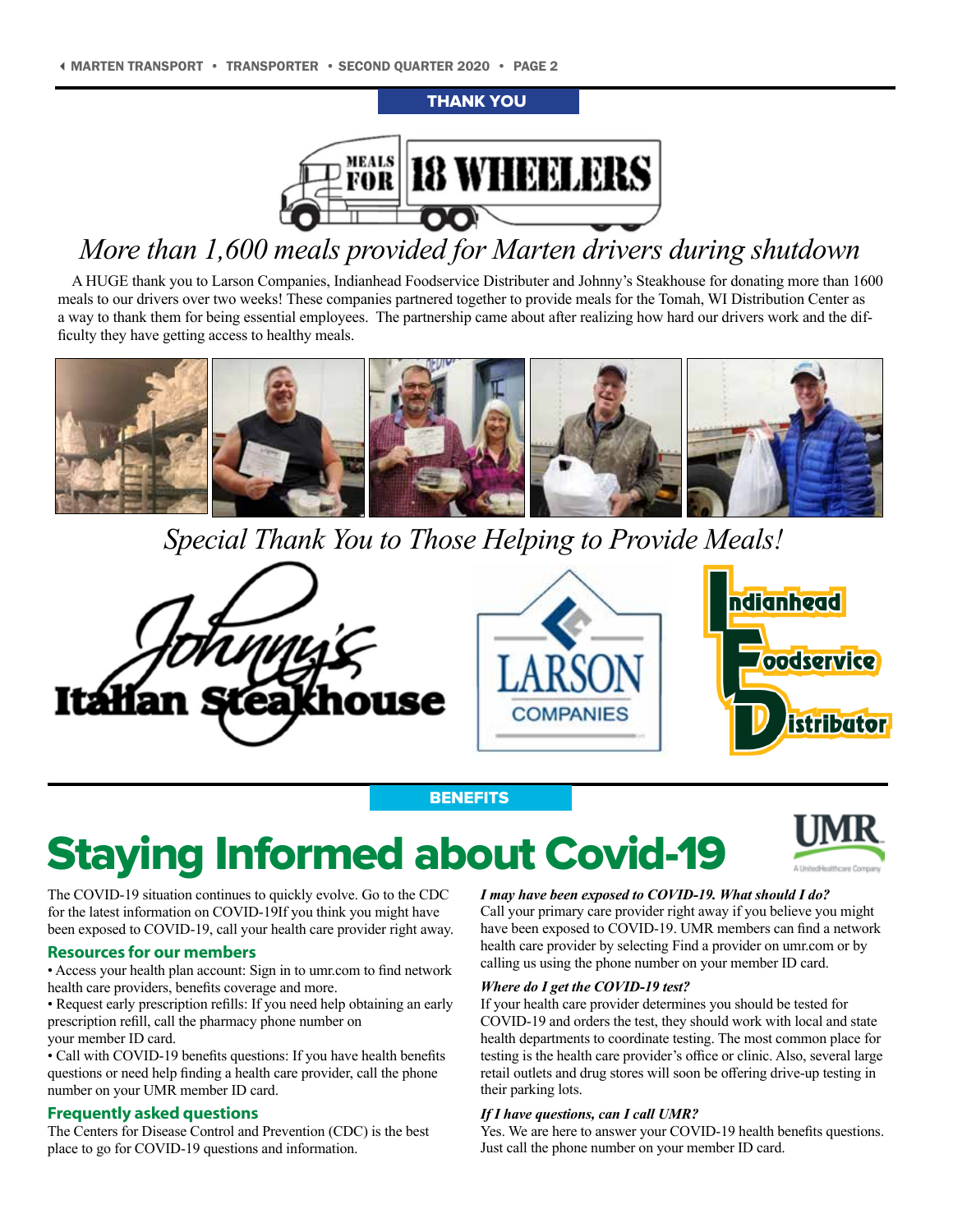### THANK YOU



### *More than 1,600 meals provided for Marten drivers during shutdown*

A HUGE thank you to Larson Companies, Indianhead Foodservice Distributer and Johnny's Steakhouse for donating more than 1600 meals to our drivers over two weeks! These companies partnered together to provide meals for the Tomah, WI Distribution Center as a way to thank them for being essential employees. The partnership came about after realizing how hard our drivers work and the difficulty they have getting access to healthy meals.



*Special Thank You to Those Helping to Provide Meals!*



### **BENEFITS**

## Staying Informed about Covid-19



#### **Resources for our members**

- Access your health plan account: Sign in to umr.com to find network health care providers, benefits coverage and more.
- Request early prescription refills: If you need help obtaining an early prescription refill, call the pharmacy phone number on your member ID card.
- Call with COVID-19 benefits questions: If you have health benefits questions or need help finding a health care provider, call the phone number on your UMR member ID card.

### **Frequently asked questions**

The Centers for Disease Control and Prevention (CDC) is the best place to go for COVID-19 questions and information.

#### *I may have been exposed to COVID-19. What should I do?*

Call your primary care provider right away if you believe you might have been exposed to COVID-19. UMR members can find a network health care provider by selecting Find a provider on umr.com or by calling us using the phone number on your member ID card.

#### *Where do I get the COVID-19 test?*

If your health care provider determines you should be tested for COVID-19 and orders the test, they should work with local and state health departments to coordinate testing. The most common place for testing is the health care provider's office or clinic. Also, several large retail outlets and drug stores will soon be offering drive-up testing in their parking lots.

#### *If I have questions, can I call UMR?*

Yes. We are here to answer your COVID-19 health benefits questions. Just call the phone number on your member ID card.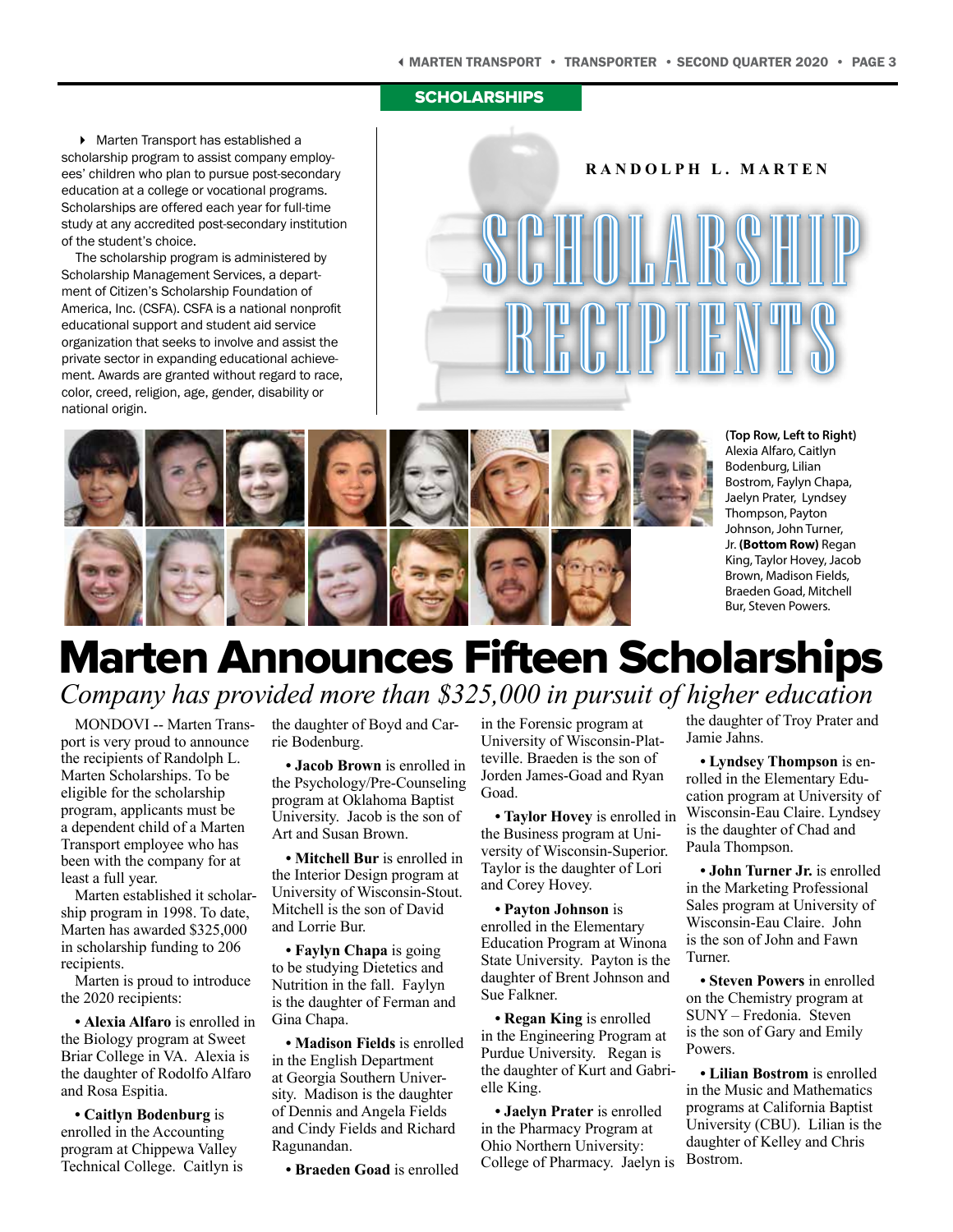#### **SCHOLARSHIPS**

▶ Marten Transport has established a scholarship program to assist company employees' children who plan to pursue post-secondary education at a college or vocational programs. Scholarships are offered each year for full-time study at any accredited post-secondary institution of the student's choice.

The scholarship program is administered by Scholarship Management Services, a department of Citizen's Scholarship Foundation of America, Inc. (CSFA). CSFA is a national nonprofit educational support and student aid service organization that seeks to involve and assist the private sector in expanding educational achievement. Awards are granted without regard to race, color, creed, religion, age, gender, disability or national origin.

#### **RANDOLPH L. MARTEN**

SCHOLARSHIP RECIPIENTS



**(Top Row, Left to Right)** Alexia Alfaro, Caitlyn Bodenburg, Lilian Bostrom, Faylyn Chapa, Jaelyn Prater, Lyndsey Thompson, Payton Johnson, John Turner, Jr. **(Bottom Row)** Regan King, Taylor Hovey, Jacob Brown, Madison Fields, Braeden Goad, Mitchell Bur, Steven Powers.

### Marten Announces Fifteen Scholarships *Company has provided more than \$325,000 in pursuit of higher education*

MONDOVI -- Marten Transport is very proud to announce the recipients of Randolph L. Marten Scholarships. To be eligible for the scholarship program, applicants must be a dependent child of a Marten Transport employee who has been with the company for at least a full year.

Marten established it scholarship program in 1998. To date, Marten has awarded \$325,000 in scholarship funding to 206 recipients.

Marten is proud to introduce the 2020 recipients:

*•* **Alexia Alfaro** is enrolled in the Biology program at Sweet Briar College in VA. Alexia is the daughter of Rodolfo Alfaro and Rosa Espitia.

**• Caitlyn Bodenburg** is enrolled in the Accounting program at Chippewa Valley Technical College. Caitlyn is the daughter of Boyd and Carrie Bodenburg.

**• Jacob Brown** is enrolled in the Psychology/Pre-Counseling program at Oklahoma Baptist University. Jacob is the son of Art and Susan Brown.

**• Mitchell Bur** is enrolled in the Interior Design program at University of Wisconsin-Stout. Mitchell is the son of David and Lorrie Bur.

**• Faylyn Chapa** is going to be studying Dietetics and Nutrition in the fall. Faylyn is the daughter of Ferman and Gina Chapa.

**• Madison Fields** is enrolled in the English Department at Georgia Southern University. Madison is the daughter of Dennis and Angela Fields and Cindy Fields and Richard Ragunandan.

**• Braeden Goad** is enrolled

in the Forensic program at University of Wisconsin-Platteville. Braeden is the son of Jorden James-Goad and Ryan Goad.

**• Taylor Hovey** is enrolled in the Business program at University of Wisconsin-Superior. Taylor is the daughter of Lori and Corey Hovey.

**• Payton Johnson** is enrolled in the Elementary Education Program at Winona State University. Payton is the daughter of Brent Johnson and Sue Falkner.

**• Regan King** is enrolled in the Engineering Program at Purdue University. Regan is the daughter of Kurt and Gabrielle King.

**• Jaelyn Prater** is enrolled in the Pharmacy Program at Ohio Northern University: College of Pharmacy. Jaelyn is the daughter of Troy Prater and Jamie Jahns.

**• Lyndsey Thompson** is enrolled in the Elementary Education program at University of Wisconsin-Eau Claire. Lyndsey is the daughter of Chad and Paula Thompson.

**• John Turner Jr.** is enrolled in the Marketing Professional Sales program at University of Wisconsin-Eau Claire. John is the son of John and Fawn Turner.

**• Steven Powers** in enrolled on the Chemistry program at SUNY – Fredonia. Steven is the son of Gary and Emily Powers.

**• Lilian Bostrom** is enrolled in the Music and Mathematics programs at California Baptist University (CBU). Lilian is the daughter of Kelley and Chris Bostrom.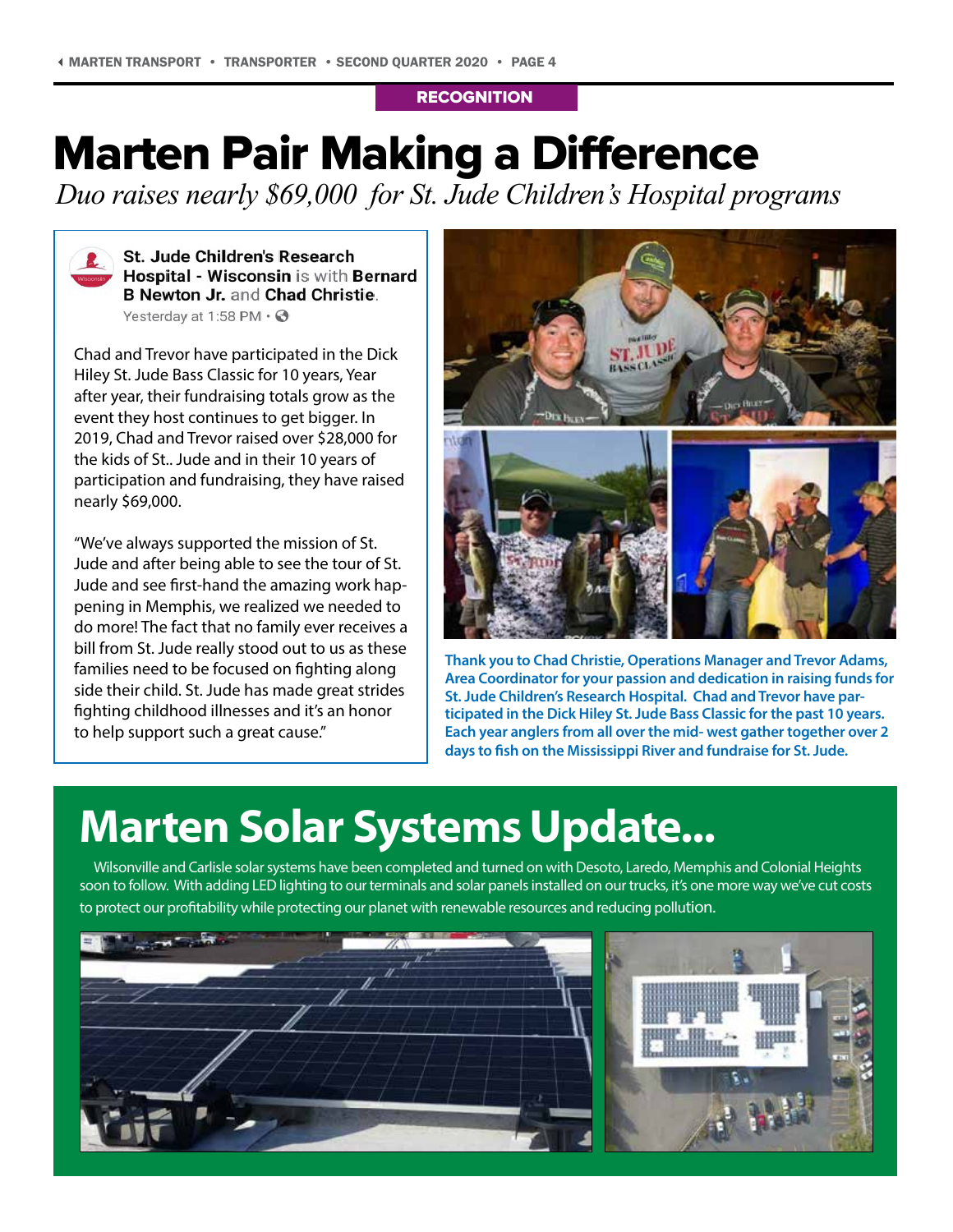### **RECOGNITION**

## Marten Pair Making a Difference

*Duo raises nearly \$69,000 for St. Jude Children's Hospital programs*



**St. Jude Children's Research** Hospital - Wisconsin is with Bernard **B Newton Jr. and Chad Christie.** Yesterday at 1:58 PM  $\cdot$   $\odot$ 

Chad and Trevor have participated in the Dick Hiley St. Jude Bass Classic for 10 years, Year after year, their fundraising totals grow as the event they host continues to get bigger. In 2019, Chad and Trevor raised over \$28,000 for the kids of St.. Jude and in their 10 years of participation and fundraising, they have raised nearly \$69,000.

"We've always supported the mission of St. Jude and after being able to see the tour of St. Jude and see first-hand the amazing work happening in Memphis, we realized we needed to do more! The fact that no family ever receives a bill from St. Jude really stood out to us as these families need to be focused on fighting along side their child. St. Jude has made great strides fighting childhood illnesses and it's an honor to help support such a great cause."



**Thank you to Chad Christie, Operations Manager and Trevor Adams, Area Coordinator for your passion and dedication in raising funds for St. Jude Children's Research Hospital. Chad and Trevor have participated in the Dick Hiley St. Jude Bass Classic for the past 10 years. Each year anglers from all over the mid- west gather together over 2 days to fish on the Mississippi River and fundraise for St. Jude.** 

## **Marten Solar Systems Update...**

Wilsonville and Carlisle solar systems have been completed and turned on with Desoto, Laredo, Memphis and Colonial Heights soon to follow. With adding LED lighting to our terminals and solar panels installed on our trucks, it's one more way we've cut costs to protect our profitability while protecting our planet with renewable resources and reducing pollution.

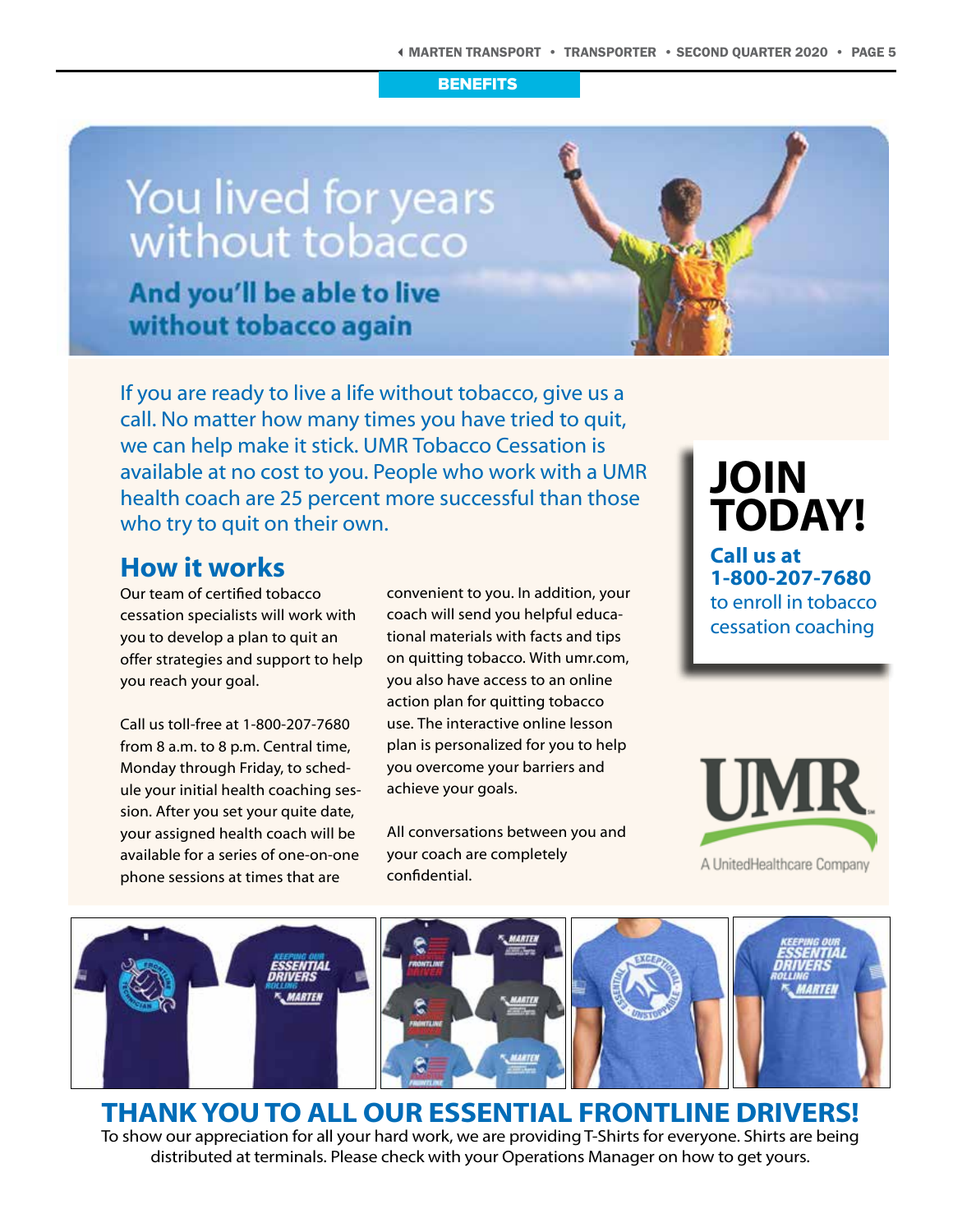#### **BENEFITS**

## You lived for years without tobacco

And you'll be able to live without tobacco again



If you are ready to live a life without tobacco, give us a call. No matter how many times you have tried to quit, we can help make it stick. UMR Tobacco Cessation is available at no cost to you. People who work with a UMR health coach are 25 percent more successful than those who try to quit on their own.

### **How it works**

Our team of certified tobacco cessation specialists will work with you to develop a plan to quit an offer strategies and support to help you reach your goal.

Call us toll-free at 1-800-207-7680 from 8 a.m. to 8 p.m. Central time, Monday through Friday, to schedule your initial health coaching session. After you set your quite date, your assigned health coach will be available for a series of one-on-one phone sessions at times that are

convenient to you. In addition, your coach will send you helpful educational materials with facts and tips on quitting tobacco. With umr.com, you also have access to an online action plan for quitting tobacco use. The interactive online lesson plan is personalized for you to help you overcome your barriers and achieve your goals.

All conversations between you and your coach are completely confidential.

**JOIN TODAY! Call us at**

**1-800-207-7680** to enroll in tobacco cessation coaching





### **THANK YOU TO ALL OUR ESSENTIAL FRONTLINE DRIVERS!**

To show our appreciation for all your hard work, we are providing T-Shirts for everyone. Shirts are being distributed at terminals. Please check with your Operations Manager on how to get yours.